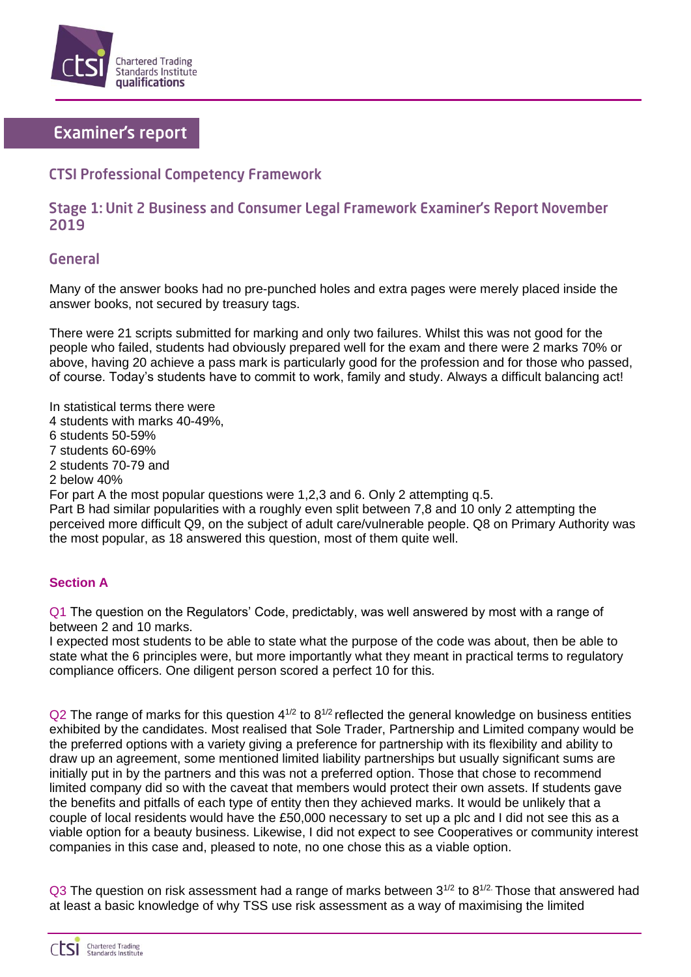

# **Examiner's report**

## **CTSI Professional Competency Framework**

### Stage 1: Unit 2 Business and Consumer Legal Framework Examiner's Report November 2019

#### **General**

Many of the answer books had no pre-punched holes and extra pages were merely placed inside the answer books, not secured by treasury tags.

There were 21 scripts submitted for marking and only two failures. Whilst this was not good for the people who failed, students had obviously prepared well for the exam and there were 2 marks 70% or above, having 20 achieve a pass mark is particularly good for the profession and for those who passed, of course. Today's students have to commit to work, family and study. Always a difficult balancing act!

In statistical terms there were

- 4 students with marks 40-49%,
- 6 students 50-59%
- 7 students 60-69%
- 2 students 70-79 and
- 2 below 40%

For part A the most popular questions were 1,2,3 and 6. Only 2 attempting q.5.

Part B had similar popularities with a roughly even split between 7,8 and 10 only 2 attempting the perceived more difficult Q9, on the subject of adult care/vulnerable people. Q8 on Primary Authority was the most popular, as 18 answered this question, most of them quite well.

#### **Section A**

Q1 The question on the Regulators' Code, predictably, was well answered by most with a range of between 2 and 10 marks.

I expected most students to be able to state what the purpose of the code was about, then be able to state what the 6 principles were, but more importantly what they meant in practical terms to regulatory compliance officers. One diligent person scored a perfect 10 for this.

 $Q2$  The range of marks for this question  $4^{1/2}$  to  $8^{1/2}$  reflected the general knowledge on business entities exhibited by the candidates. Most realised that Sole Trader, Partnership and Limited company would be the preferred options with a variety giving a preference for partnership with its flexibility and ability to draw up an agreement, some mentioned limited liability partnerships but usually significant sums are initially put in by the partners and this was not a preferred option. Those that chose to recommend limited company did so with the caveat that members would protect their own assets. If students gave the benefits and pitfalls of each type of entity then they achieved marks. It would be unlikely that a couple of local residents would have the £50,000 necessary to set up a plc and I did not see this as a viable option for a beauty business. Likewise, I did not expect to see Cooperatives or community interest companies in this case and, pleased to note, no one chose this as a viable option.

Q3 The question on risk assessment had a range of marks between  $3^{1/2}$  to  $8^{1/2}$ . Those that answered had at least a basic knowledge of why TSS use risk assessment as a way of maximising the limited

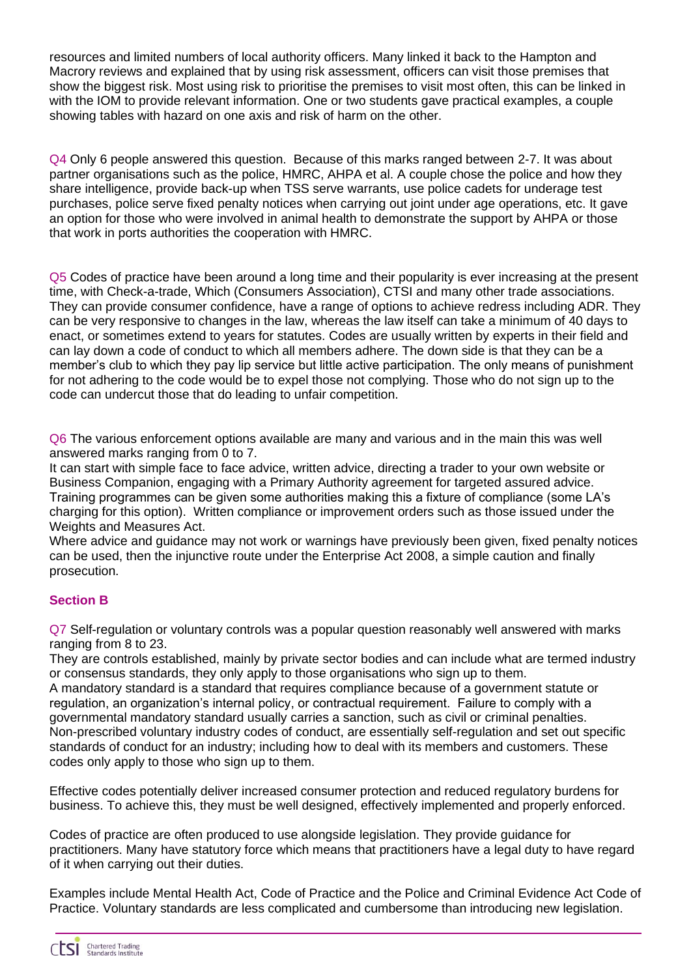resources and limited numbers of local authority officers. Many linked it back to the Hampton and Macrory reviews and explained that by using risk assessment, officers can visit those premises that show the biggest risk. Most using risk to prioritise the premises to visit most often, this can be linked in with the IOM to provide relevant information. One or two students gave practical examples, a couple showing tables with hazard on one axis and risk of harm on the other.

Q4 Only 6 people answered this question. Because of this marks ranged between 2-7. It was about partner organisations such as the police, HMRC, AHPA et al. A couple chose the police and how they share intelligence, provide back-up when TSS serve warrants, use police cadets for underage test purchases, police serve fixed penalty notices when carrying out joint under age operations, etc. It gave an option for those who were involved in animal health to demonstrate the support by AHPA or those that work in ports authorities the cooperation with HMRC.

Q5 Codes of practice have been around a long time and their popularity is ever increasing at the present time, with Check-a-trade, Which (Consumers Association), CTSI and many other trade associations. They can provide consumer confidence, have a range of options to achieve redress including ADR. They can be very responsive to changes in the law, whereas the law itself can take a minimum of 40 days to enact, or sometimes extend to years for statutes. Codes are usually written by experts in their field and can lay down a code of conduct to which all members adhere. The down side is that they can be a member's club to which they pay lip service but little active participation. The only means of punishment for not adhering to the code would be to expel those not complying. Those who do not sign up to the code can undercut those that do leading to unfair competition.

Q6 The various enforcement options available are many and various and in the main this was well answered marks ranging from 0 to 7.

It can start with simple face to face advice, written advice, directing a trader to your own website or Business Companion, engaging with a Primary Authority agreement for targeted assured advice. Training programmes can be given some authorities making this a fixture of compliance (some LA's charging for this option). Written compliance or improvement orders such as those issued under the Weights and Measures Act.

Where advice and guidance may not work or warnings have previously been given, fixed penalty notices can be used, then the injunctive route under the Enterprise Act 2008, a simple caution and finally prosecution.

#### **Section B**

Q7 Self-regulation or voluntary controls was a popular question reasonably well answered with marks ranging from 8 to 23.

They are controls established, mainly by private sector bodies and can include what are termed industry or consensus standards, they only apply to those organisations who sign up to them.

A mandatory standard is a standard that requires compliance because of a government statute or regulation, an organization's internal policy, or contractual requirement. Failure to comply with a governmental mandatory standard usually carries a sanction, such as civil or criminal penalties. Non-prescribed voluntary industry codes of conduct, are essentially self-regulation and set out specific standards of conduct for an industry; including how to deal with its members and customers. These codes only apply to those who sign up to them.

Effective codes potentially deliver increased consumer protection and reduced regulatory burdens for business. To achieve this, they must be well designed, effectively implemented and properly enforced.

Codes of practice are often produced to use alongside legislation. They provide guidance for practitioners. Many have statutory force which means that practitioners have a legal duty to have regard of it when carrying out their duties.

Examples include Mental Health Act, Code of Practice and the Police and Criminal Evidence Act Code of Practice. Voluntary standards are less complicated and cumbersome than introducing new legislation.

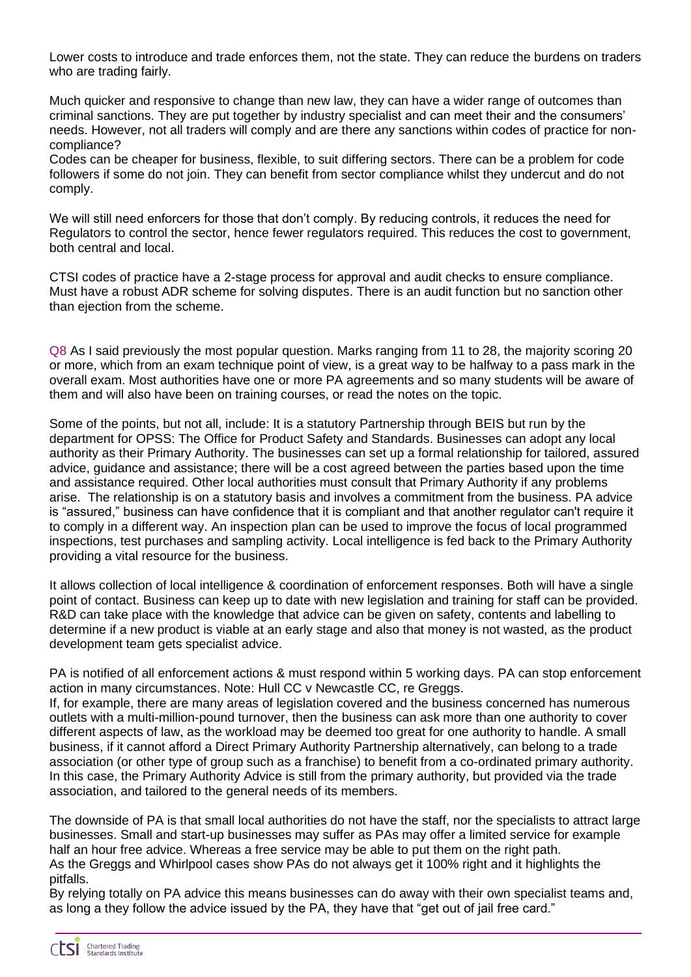Lower costs to introduce and trade enforces them, not the state. They can reduce the burdens on traders who are trading fairly.

Much quicker and responsive to change than new law, they can have a wider range of outcomes than criminal sanctions. They are put together by industry specialist and can meet their and the consumers' needs. However, not all traders will comply and are there any sanctions within codes of practice for noncompliance?

Codes can be cheaper for business, flexible, to suit differing sectors. There can be a problem for code followers if some do not join. They can benefit from sector compliance whilst they undercut and do not comply.

We will still need enforcers for those that don't comply. By reducing controls, it reduces the need for Regulators to control the sector, hence fewer regulators required. This reduces the cost to government, both central and local.

CTSI codes of practice have a 2-stage process for approval and audit checks to ensure compliance. Must have a robust ADR scheme for solving disputes. There is an audit function but no sanction other than ejection from the scheme.

Q8 As I said previously the most popular question. Marks ranging from 11 to 28, the majority scoring 20 or more, which from an exam technique point of view, is a great way to be halfway to a pass mark in the overall exam. Most authorities have one or more PA agreements and so many students will be aware of them and will also have been on training courses, or read the notes on the topic.

Some of the points, but not all, include: It is a statutory Partnership through BEIS but run by the department for OPSS: The Office for Product Safety and Standards. Businesses can adopt any local authority as their Primary Authority. The businesses can set up a formal relationship for tailored, assured advice, guidance and assistance; there will be a cost agreed between the parties based upon the time and assistance required. Other local authorities must consult that Primary Authority if any problems arise. The relationship is on a statutory basis and involves a commitment from the business. PA advice is "assured," business can have confidence that it is compliant and that another regulator can't require it to comply in a different way. An inspection plan can be used to improve the focus of local programmed inspections, test purchases and sampling activity. Local intelligence is fed back to the Primary Authority providing a vital resource for the business.

It allows collection of local intelligence & coordination of enforcement responses. Both will have a single point of contact. Business can keep up to date with new legislation and training for staff can be provided. R&D can take place with the knowledge that advice can be given on safety, contents and labelling to determine if a new product is viable at an early stage and also that money is not wasted, as the product development team gets specialist advice.

PA is notified of all enforcement actions & must respond within 5 working days. PA can stop enforcement action in many circumstances. Note: Hull CC v Newcastle CC, re Greggs. If, for example, there are many areas of legislation covered and the business concerned has numerous outlets with a multi-million-pound turnover, then the business can ask more than one authority to cover different aspects of law, as the workload may be deemed too great for one authority to handle. A small business, if it cannot afford a Direct Primary Authority Partnership alternatively, can belong to a trade association (or other type of group such as a franchise) to benefit from a co-ordinated primary authority. In this case, the Primary Authority Advice is still from the primary authority, but provided via the trade association, and tailored to the general needs of its members.

The downside of PA is that small local authorities do not have the staff, nor the specialists to attract large businesses. Small and start-up businesses may suffer as PAs may offer a limited service for example half an hour free advice. Whereas a free service may be able to put them on the right path. As the Greggs and Whirlpool cases show PAs do not always get it 100% right and it highlights the pitfalls.

By relying totally on PA advice this means businesses can do away with their own specialist teams and, as long a they follow the advice issued by the PA, they have that "get out of jail free card."

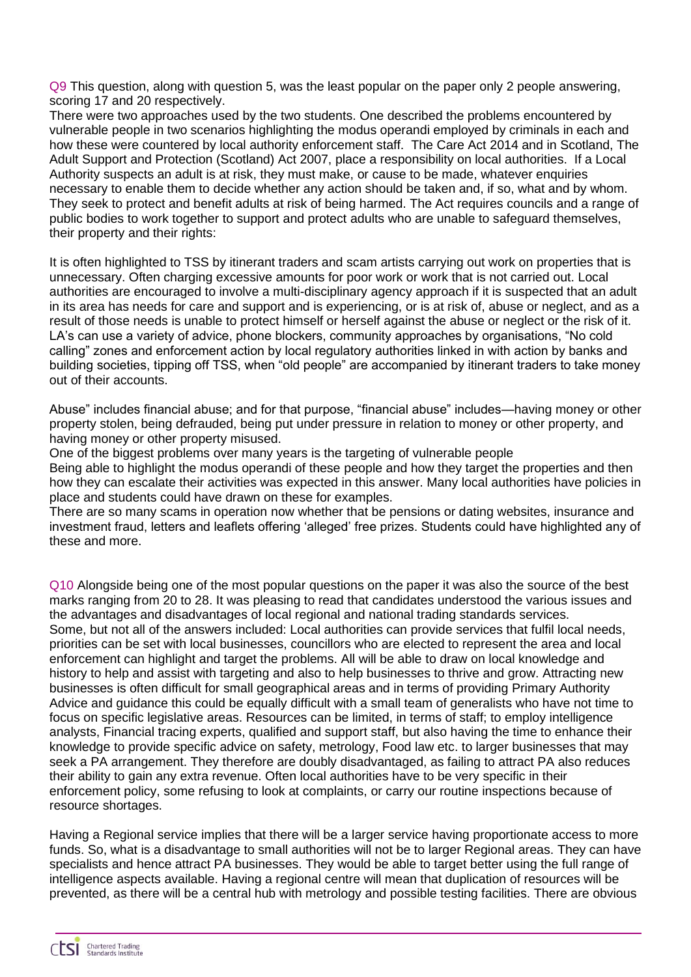Q9 This question, along with question 5, was the least popular on the paper only 2 people answering, scoring 17 and 20 respectively.

There were two approaches used by the two students. One described the problems encountered by vulnerable people in two scenarios highlighting the modus operandi employed by criminals in each and how these were countered by local authority enforcement staff. The Care Act 2014 and in Scotland, The Adult Support and Protection (Scotland) Act 2007, place a responsibility on local authorities. If a Local Authority suspects an adult is at risk, they must make, or cause to be made, whatever enquiries necessary to enable them to decide whether any action should be taken and, if so, what and by whom. They seek to protect and benefit adults at risk of being harmed. The Act requires councils and a range of public bodies to work together to support and protect adults who are unable to safeguard themselves, their property and their rights:

It is often highlighted to TSS by itinerant traders and scam artists carrying out work on properties that is unnecessary. Often charging excessive amounts for poor work or work that is not carried out. Local authorities are encouraged to involve a multi-disciplinary agency approach if it is suspected that an adult in its area has needs for care and support and is experiencing, or is at risk of, abuse or neglect, and as a result of those needs is unable to protect himself or herself against the abuse or neglect or the risk of it. LA's can use a variety of advice, phone blockers, community approaches by organisations, "No cold calling" zones and enforcement action by local regulatory authorities linked in with action by banks and building societies, tipping off TSS, when "old people" are accompanied by itinerant traders to take money out of their accounts.

Abuse" includes financial abuse; and for that purpose, "financial abuse" includes—having money or other property stolen, being defrauded, being put under pressure in relation to money or other property, and having money or other property misused.

One of the biggest problems over many years is the targeting of vulnerable people Being able to highlight the modus operandi of these people and how they target the properties and then how they can escalate their activities was expected in this answer. Many local authorities have policies in place and students could have drawn on these for examples.

There are so many scams in operation now whether that be pensions or dating websites, insurance and investment fraud, letters and leaflets offering 'alleged' free prizes. Students could have highlighted any of these and more.

Q10 Alongside being one of the most popular questions on the paper it was also the source of the best marks ranging from 20 to 28. It was pleasing to read that candidates understood the various issues and the advantages and disadvantages of local regional and national trading standards services. Some, but not all of the answers included: Local authorities can provide services that fulfil local needs, priorities can be set with local businesses, councillors who are elected to represent the area and local enforcement can highlight and target the problems. All will be able to draw on local knowledge and history to help and assist with targeting and also to help businesses to thrive and grow. Attracting new businesses is often difficult for small geographical areas and in terms of providing Primary Authority Advice and guidance this could be equally difficult with a small team of generalists who have not time to focus on specific legislative areas. Resources can be limited, in terms of staff; to employ intelligence analysts, Financial tracing experts, qualified and support staff, but also having the time to enhance their knowledge to provide specific advice on safety, metrology, Food law etc. to larger businesses that may seek a PA arrangement. They therefore are doubly disadvantaged, as failing to attract PA also reduces their ability to gain any extra revenue. Often local authorities have to be very specific in their enforcement policy, some refusing to look at complaints, or carry our routine inspections because of resource shortages.

Having a Regional service implies that there will be a larger service having proportionate access to more funds. So, what is a disadvantage to small authorities will not be to larger Regional areas. They can have specialists and hence attract PA businesses. They would be able to target better using the full range of intelligence aspects available. Having a regional centre will mean that duplication of resources will be prevented, as there will be a central hub with metrology and possible testing facilities. There are obvious